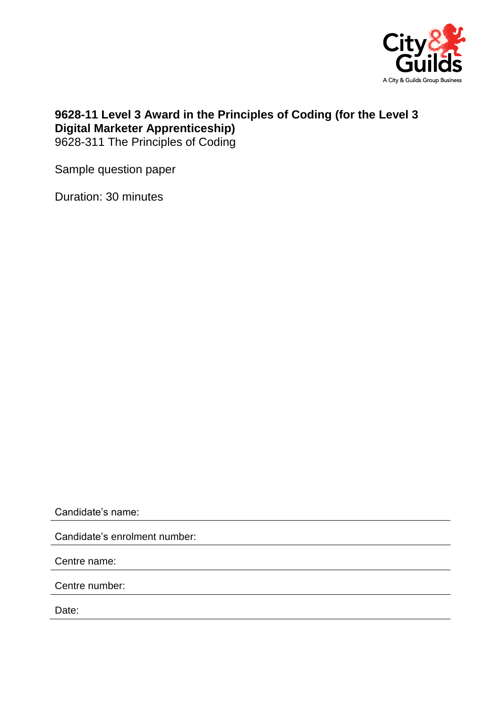

## **9628-11 Level 3 Award in the Principles of Coding (for the Level 3 Digital Marketer Apprenticeship)**

9628-311 The Principles of Coding

Sample question paper

Duration: 30 minutes

Candidate's name:

Candidate's enrolment number:

Centre name:

Centre number:

Date: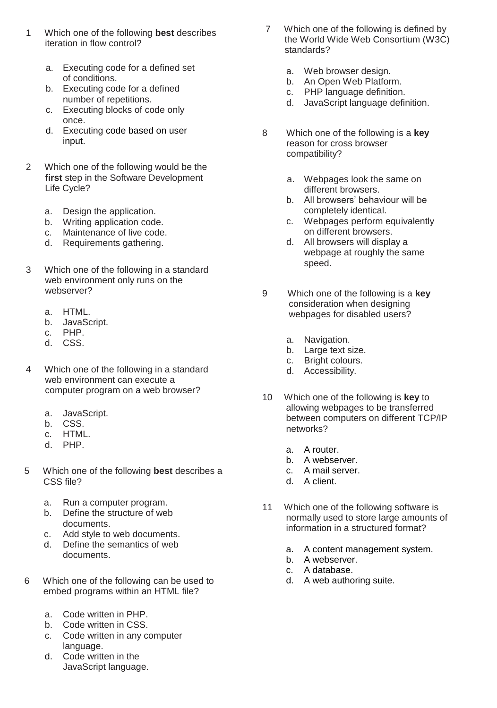- 1 Which one of the following **best** describes iteration in flow control?
	- a. Executing code for a defined set of conditions.
	- b. Executing code for a defined number of repetitions.
	- c. Executing blocks of code only once.
	- d. Executing code based on user input.
- 2 Which one of the following would be the **first** step in the Software Development Life Cycle?
	- a. Design the application.
	- b. Writing application code.
	- c. Maintenance of live code.
	- d. Requirements gathering.
- 3 Which one of the following in a standard web environment only runs on the webserver?
	- a. HTML.
	- b. JavaScript.
	- c. PHP.
	- d. CSS.
- 4 Which one of the following in a standard web environment can execute a computer program on a web browser?
	- a. JavaScript.
	- b. CSS.
	- c. HTML.
	- d. PHP.
- 5 Which one of the following **best** describes a CSS file?
	- a. Run a computer program.
	- b. Define the structure of web documents.
	- c. Add style to web documents.
	- d. Define the semantics of web documents.
- 6 Which one of the following can be used to embed programs within an HTML file?
	- a. Code written in PHP.
	- b. Code written in CSS.
	- c. Code written in any computer language.
	- d. Code written in the JavaScript language.
- 7 Which one of the following is defined by the World Wide Web Consortium (W3C) standards?
	- a. Web browser design.
	- b. An Open Web Platform.
	- c. PHP language definition.
	- d. JavaScript language definition.
- 8 Which one of the following is a **key** reason for cross browser compatibility?
	- a. Webpages look the same on different browsers.
	- b. All browsers' behaviour will be completely identical.
	- c. Webpages perform equivalently on different browsers.
	- d. All browsers will display a webpage at roughly the same speed.
- 9 Which one of the following is a **key** consideration when designing webpages for disabled users?
	- a. Navigation.
	- b. Large text size.
	- c. Bright colours.
	- d. Accessibility.
- 10 Which one of the following is **key** to allowing webpages to be transferred between computers on different TCP/IP networks?
	- a. A router.
	- b. A webserver.
	- c. A mail server.
	- d. A client.
- 11 Which one of the following software is normally used to store large amounts of information in a structured format?
	- a. A content management system.
	- b. A webserver.
	- c. A database.
	- d. A web authoring suite.